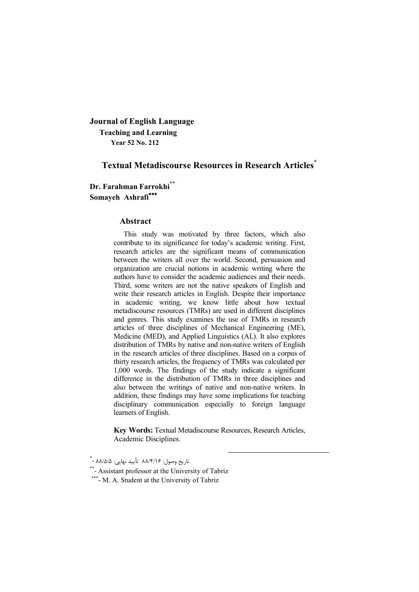**Journal of English Language Teaching and Learning Year 52 No. 212**

# **Textual Metadiscourse Resources in Research Articles\***

**Dr. Farahman Farrokhi\*\* Somayeh Ashrafi**

### **Abstract**

This study was motivated by three factors, which also contribute to its significance for today's academic writing. First, research articles are the significant means of communication between the writers all over the world. Second, persuasion and organization are crucial notions in academic writing where the authors have to consider the academic audiences and their needs. Third, some writers are not the native speakers of English and write their research articles in English. Despite their importance in academic writing, we know little about how textual metadiscourse resources (TMRs) are used in different disciplines and genres. This study examines the use of TMRs in research articles of three disciplines of Mechanical Engineering (ME), Medicine (MED), and Applied Linguistics (AL). It also explores distribution of TMRs by native and non-native writers of English in the research articles of three disciplines. Based on a corpus of thirty research articles, the frequency of TMRs was calculated per 1,000 words. The findings of the study indicate a significant difference in the distribution of TMRs in three disciplines and also between the writings of native and non-native writers. In addition, these findings may have some implications for teaching disciplinary communication especially to foreign language learners of English.

**Key Words:** Textual Metadiscourse Resources, Research Articles, Academic Disciplines.

1

<sup>.&</sup>lt;br>تاریخ وصول: ۸۸/۴/۱۶ تأیید نهایی: ۸۸/۵/۵ - \*

<sup>\*\*-</sup> Assistant professor at the University of Tabriz

<sup>\*\*\*-</sup> M. A. Student at the University of Tabriz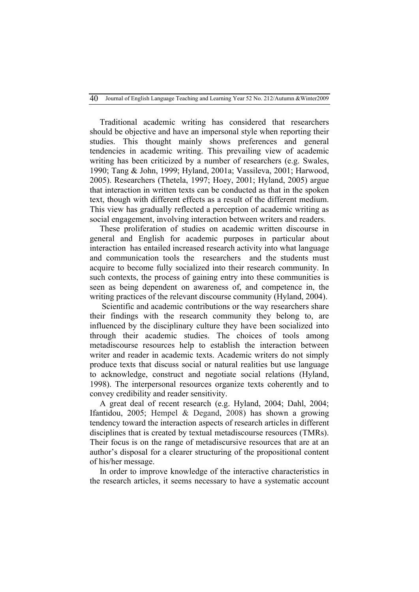Traditional academic writing has considered that researchers should be objective and have an impersonal style when reporting their studies. This thought mainly shows preferences and general tendencies in academic writing. This prevailing view of academic writing has been criticized by a number of researchers (e.g. Swales, 1990; Tang & John, 1999; Hyland, 2001a; Vassileva, 2001; Harwood, 2005). Researchers (Thetela, 1997; Hoey, 2001; Hyland, 2005) argue that interaction in written texts can be conducted as that in the spoken text, though with different effects as a result of the different medium. This view has gradually reflected a perception of academic writing as social engagement, involving interaction between writers and readers.

These proliferation of studies on academic written discourse in general and English for academic purposes in particular about interaction has entailed increased research activity into what language and communication tools the researchers and the students must acquire to become fully socialized into their research community. In such contexts, the process of gaining entry into these communities is seen as being dependent on awareness of, and competence in, the writing practices of the relevant discourse community (Hyland, 2004).

Scientific and academic contributions or the way researchers share their findings with the research community they belong to, are influenced by the disciplinary culture they have been socialized into through their academic studies. The choices of tools among metadiscourse resources help to establish the interaction between writer and reader in academic texts. Academic writers do not simply produce texts that discuss social or natural realities but use language to acknowledge, construct and negotiate social relations (Hyland, 1998). The interpersonal resources organize texts coherently and to convey credibility and reader sensitivity.

A great deal of recent research (e.g. Hyland, 2004; Dahl, 2004; Ifantidou, 2005; Hempel & Degand, 2008) has shown a growing tendency toward the interaction aspects of research articles in different disciplines that is created by textual metadiscourse resources (TMRs). Their focus is on the range of metadiscursive resources that are at an author's disposal for a clearer structuring of the propositional content of his/her message.

In order to improve knowledge of the interactive characteristics in the research articles, it seems necessary to have a systematic account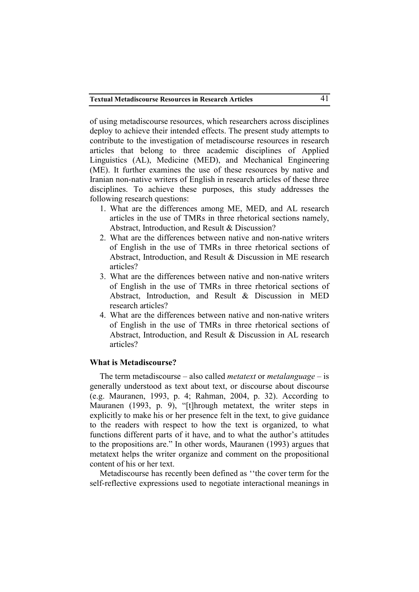of using metadiscourse resources, which researchers across disciplines deploy to achieve their intended effects. The present study attempts to contribute to the investigation of metadiscourse resources in research articles that belong to three academic disciplines of Applied Linguistics (AL), Medicine (MED), and Mechanical Engineering (ME). It further examines the use of these resources by native and Iranian non-native writers of English in research articles of these three disciplines. To achieve these purposes, this study addresses the following research questions:

- 1. What are the differences among ME, MED, and AL research articles in the use of TMRs in three rhetorical sections namely, Abstract, Introduction, and Result & Discussion?
- 2. What are the differences between native and non-native writers of English in the use of TMRs in three rhetorical sections of Abstract, Introduction, and Result & Discussion in ME research articles?
- 3. What are the differences between native and non-native writers of English in the use of TMRs in three rhetorical sections of Abstract, Introduction, and Result & Discussion in MED research articles?
- 4. What are the differences between native and non-native writers of English in the use of TMRs in three rhetorical sections of Abstract, Introduction, and Result & Discussion in AL research articles?

### **What is Metadiscourse?**

The term metadiscourse – also called *metatext* or *metalanguage* – is generally understood as text about text, or discourse about discourse (e.g. Mauranen, 1993, p. 4; Rahman, 2004, p. 32). According to Mauranen (1993, p. 9), "[t]hrough metatext, the writer steps in explicitly to make his or her presence felt in the text, to give guidance to the readers with respect to how the text is organized, to what functions different parts of it have, and to what the author's attitudes to the propositions are." In other words, Mauranen (1993) argues that metatext helps the writer organize and comment on the propositional content of his or her text.

Metadiscourse has recently been defined as ''the cover term for the self-reflective expressions used to negotiate interactional meanings in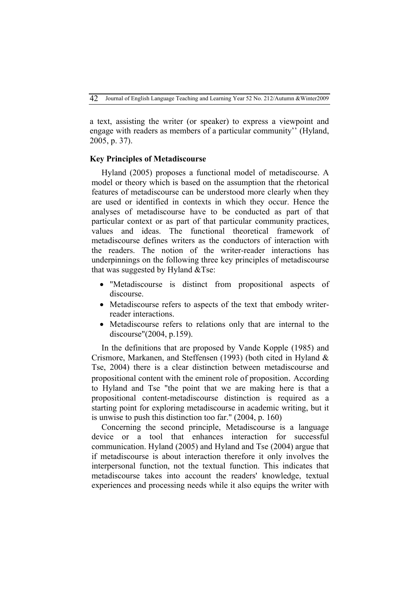a text, assisting the writer (or speaker) to express a viewpoint and engage with readers as members of a particular community'' (Hyland, 2005, p. 37).

### **Key Principles of Metadiscourse**

Hyland (2005) proposes a functional model of metadiscourse. A model or theory which is based on the assumption that the rhetorical features of metadiscourse can be understood more clearly when they are used or identified in contexts in which they occur. Hence the analyses of metadiscourse have to be conducted as part of that particular context or as part of that particular community practices, values and ideas. The functional theoretical framework of metadiscourse defines writers as the conductors of interaction with the readers. The notion of the writer-reader interactions has underpinnings on the following three key principles of metadiscourse that was suggested by Hyland  $&$ Tse:

- "Metadiscourse is distinct from propositional aspects of discourse.
- Metadiscourse refers to aspects of the text that embody writerreader interactions.
- Metadiscourse refers to relations only that are internal to the discourse"(2004, p.159).

In the definitions that are proposed by Vande Kopple (1985) and Crismore, Markanen, and Steffensen (1993) (both cited in Hyland & Tse, 2004) there is a clear distinction between metadiscourse and propositional content with the eminent role of proposition. According to Hyland and Tse "the point that we are making here is that a propositional content-metadiscourse distinction is required as a starting point for exploring metadiscourse in academic writing, but it is unwise to push this distinction too far." (2004, p. 160)

Concerning the second principle, Metadiscourse is a language device or a tool that enhances interaction for successful communication. Hyland (2005) and Hyland and Tse (2004) argue that if metadiscourse is about interaction therefore it only involves the interpersonal function, not the textual function. This indicates that metadiscourse takes into account the readers' knowledge, textual experiences and processing needs while it also equips the writer with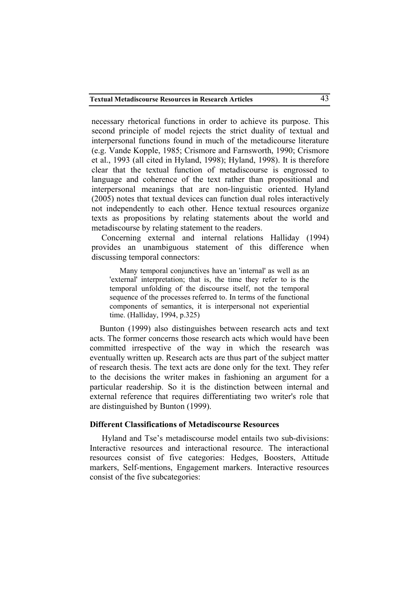necessary rhetorical functions in order to achieve its purpose. This second principle of model rejects the strict duality of textual and interpersonal functions found in much of the metadicourse literature (e.g. Vande Kopple, 1985; Crismore and Farnsworth, 1990; Crismore et al., 1993 (all cited in Hyland, 1998); Hyland, 1998). It is therefore clear that the textual function of metadiscourse is engrossed to language and coherence of the text rather than propositional and interpersonal meanings that are non-linguistic oriented. Hyland (2005) notes that textual devices can function dual roles interactively not independently to each other. Hence textual resources organize texts as propositions by relating statements about the world and metadiscourse by relating statement to the readers.

Concerning external and internal relations Halliday (1994) provides an unambiguous statement of this difference when discussing temporal connectors:

Many temporal conjunctives have an 'internal' as well as an 'external' interpretation; that is, the time they refer to is the temporal unfolding of the discourse itself, not the temporal sequence of the processes referred to. In terms of the functional components of semantics, it is interpersonal not experiential time. (Halliday, 1994, p.325)

Bunton (1999) also distinguishes between research acts and text acts. The former concerns those research acts which would have been committed irrespective of the way in which the research was eventually written up. Research acts are thus part of the subject matter of research thesis. The text acts are done only for the text. They refer to the decisions the writer makes in fashioning an argument for a particular readership. So it is the distinction between internal and external reference that requires differentiating two writer's role that are distinguished by Bunton (1999).

### **Different Classifications of Metadiscourse Resources**

Hyland and Tse's metadiscourse model entails two sub-divisions: Interactive resources and interactional resource. The interactional resources consist of five categories: Hedges, Boosters, Attitude markers, Self-mentions, Engagement markers. Interactive resources consist of the five subcategories: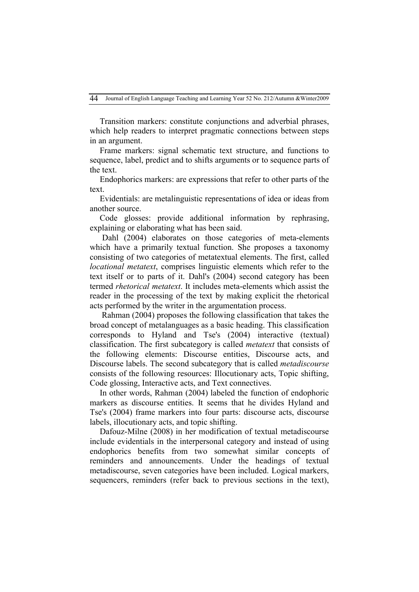Transition markers: constitute conjunctions and adverbial phrases, which help readers to interpret pragmatic connections between steps in an argument.

Frame markers: signal schematic text structure, and functions to sequence, label, predict and to shifts arguments or to sequence parts of the text.

Endophorics markers: are expressions that refer to other parts of the text.

Evidentials: are metalinguistic representations of idea or ideas from another source.

Code glosses: provide additional information by rephrasing, explaining or elaborating what has been said.

Dahl (2004) elaborates on those categories of meta-elements which have a primarily textual function. She proposes a taxonomy consisting of two categories of metatextual elements. The first, called *locational metatext*, comprises linguistic elements which refer to the text itself or to parts of it. Dahl's (2004) second category has been termed *rhetorical metatext*. It includes meta-elements which assist the reader in the processing of the text by making explicit the rhetorical acts performed by the writer in the argumentation process.

Rahman (2004) proposes the following classification that takes the broad concept of metalanguages as a basic heading. This classification corresponds to Hyland and Tse's (2004) interactive (textual) classification. The first subcategory is called *metatext* that consists of the following elements: Discourse entities, Discourse acts, and Discourse labels. The second subcategory that is called *metadiscourse* consists of the following resources: Illocutionary acts, Topic shifting, Code glossing, Interactive acts, and Text connectives.

In other words, Rahman (2004) labeled the function of endophoric markers as discourse entities. It seems that he divides Hyland and Tse's (2004) frame markers into four parts: discourse acts, discourse labels, illocutionary acts, and topic shifting.

Dafouz-Milne (2008) in her modification of textual metadiscourse include evidentials in the interpersonal category and instead of using endophorics benefits from two somewhat similar concepts of reminders and announcements. Under the headings of textual metadiscourse, seven categories have been included. Logical markers, sequencers, reminders (refer back to previous sections in the text),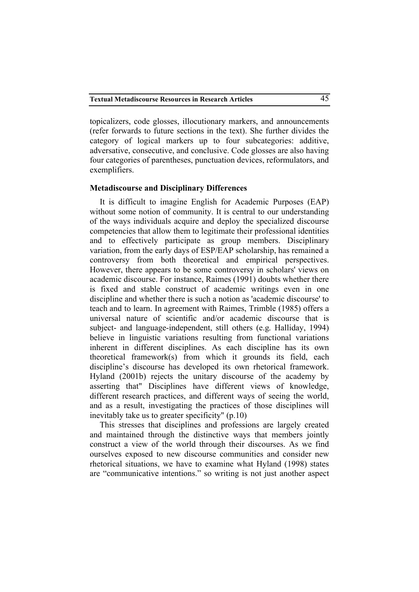topicalizers, code glosses, illocutionary markers, and announcements (refer forwards to future sections in the text). She further divides the category of logical markers up to four subcategories: additive, adversative, consecutive, and conclusive. Code glosses are also having four categories of parentheses, punctuation devices, reformulators, and exemplifiers.

### **Metadiscourse and Disciplinary Differences**

It is difficult to imagine English for Academic Purposes (EAP) without some notion of community. It is central to our understanding of the ways individuals acquire and deploy the specialized discourse competencies that allow them to legitimate their professional identities and to effectively participate as group members. Disciplinary variation, from the early days of ESP/EAP scholarship, has remained a controversy from both theoretical and empirical perspectives. However, there appears to be some controversy in scholars' views on academic discourse. For instance, Raimes (1991) doubts whether there is fixed and stable construct of academic writings even in one discipline and whether there is such a notion as 'academic discourse' to teach and to learn. In agreement with Raimes, Trimble (1985) offers a universal nature of scientific and/or academic discourse that is subject- and language-independent, still others (e.g. Halliday, 1994) believe in linguistic variations resulting from functional variations inherent in different disciplines. As each discipline has its own theoretical framework(s) from which it grounds its field, each discipline's discourse has developed its own rhetorical framework. Hyland (2001b) rejects the unitary discourse of the academy by asserting that" Disciplines have different views of knowledge, different research practices, and different ways of seeing the world, and as a result, investigating the practices of those disciplines will inevitably take us to greater specificity" (p.10)

This stresses that disciplines and professions are largely created and maintained through the distinctive ways that members jointly construct a view of the world through their discourses. As we find ourselves exposed to new discourse communities and consider new rhetorical situations, we have to examine what Hyland (1998) states are "communicative intentions." so writing is not just another aspect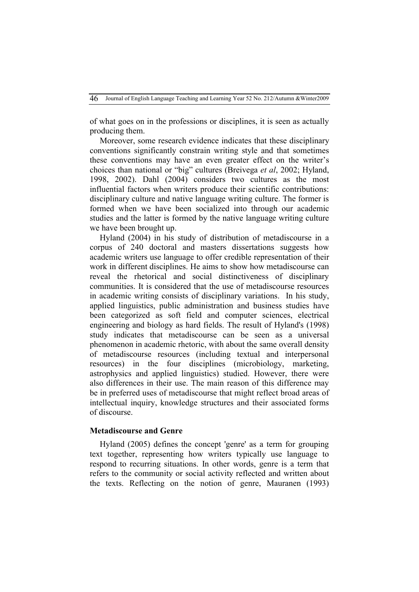of what goes on in the professions or disciplines, it is seen as actually producing them.

Moreover, some research evidence indicates that these disciplinary conventions significantly constrain writing style and that sometimes these conventions may have an even greater effect on the writer's choices than national or "big" cultures (Breivega *et al*, 2002; Hyland, 1998, 2002). Dahl (2004) considers two cultures as the most influential factors when writers produce their scientific contributions: disciplinary culture and native language writing culture. The former is formed when we have been socialized into through our academic studies and the latter is formed by the native language writing culture we have been brought up.

Hyland (2004) in his study of distribution of metadiscourse in a corpus of 240 doctoral and masters dissertations suggests how academic writers use language to offer credible representation of their work in different disciplines. He aims to show how metadiscourse can reveal the rhetorical and social distinctiveness of disciplinary communities. It is considered that the use of metadiscourse resources in academic writing consists of disciplinary variations. In his study, applied linguistics, public administration and business studies have been categorized as soft field and computer sciences, electrical engineering and biology as hard fields. The result of Hyland's (1998) study indicates that metadiscourse can be seen as a universal phenomenon in academic rhetoric, with about the same overall density of metadiscourse resources (including textual and interpersonal resources) in the four disciplines (microbiology, marketing, astrophysics and applied linguistics) studied. However, there were also differences in their use. The main reason of this difference may be in preferred uses of metadiscourse that might reflect broad areas of intellectual inquiry, knowledge structures and their associated forms of discourse.

### **Metadiscourse and Genre**

Hyland (2005) defines the concept 'genre' as a term for grouping text together, representing how writers typically use language to respond to recurring situations. In other words, genre is a term that refers to the community or social activity reflected and written about the texts. Reflecting on the notion of genre, Mauranen (1993)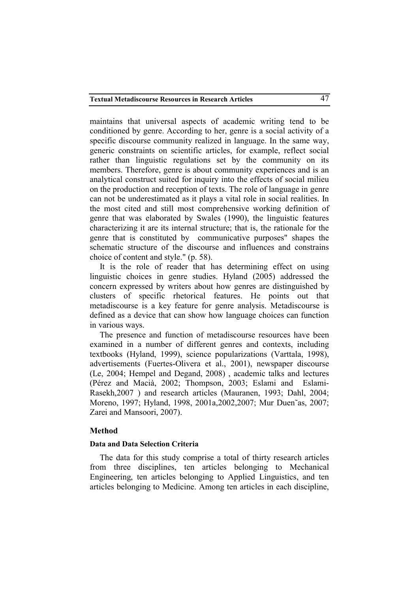maintains that universal aspects of academic writing tend to be conditioned by genre. According to her, genre is a social activity of a specific discourse community realized in language. In the same way, generic constraints on scientific articles, for example, reflect social rather than linguistic regulations set by the community on its members. Therefore, genre is about community experiences and is an analytical construct suited for inquiry into the effects of social milieu on the production and reception of texts. The role of language in genre can not be underestimated as it plays a vital role in social realities. In the most cited and still most comprehensive working definition of genre that was elaborated by Swales (1990), the linguistic features characterizing it are its internal structure; that is, the rationale for the genre that is constituted by communicative purposes" shapes the schematic structure of the discourse and influences and constrains choice of content and style." (p. 58).

It is the role of reader that has determining effect on using linguistic choices in genre studies. Hyland (2005) addressed the concern expressed by writers about how genres are distinguished by clusters of specific rhetorical features. He points out that metadiscourse is a key feature for genre analysis. Metadiscourse is defined as a device that can show how language choices can function in various ways.

The presence and function of metadiscourse resources have been examined in a number of different genres and contexts, including textbooks (Hyland, 1999), science popularizations (Varttala, 1998), advertisements (Fuertes-Olivera et al., 2001), newspaper discourse (Le, 2004; Hempel and Degand, 2008) , academic talks and lectures (Pérez and Macià, 2002; Thompson, 2003; Eslami and Eslami-Rasekh,2007 ) and research articles (Mauranen, 1993; Dahl, 2004; Moreno, 1997; Hyland, 1998, 2001a,2002,2007; Mur Duen˜as, 2007; Zarei and Mansoori, 2007).

### **Method**

### **Data and Data Selection Criteria**

The data for this study comprise a total of thirty research articles from three disciplines, ten articles belonging to Mechanical Engineering, ten articles belonging to Applied Linguistics, and ten articles belonging to Medicine. Among ten articles in each discipline,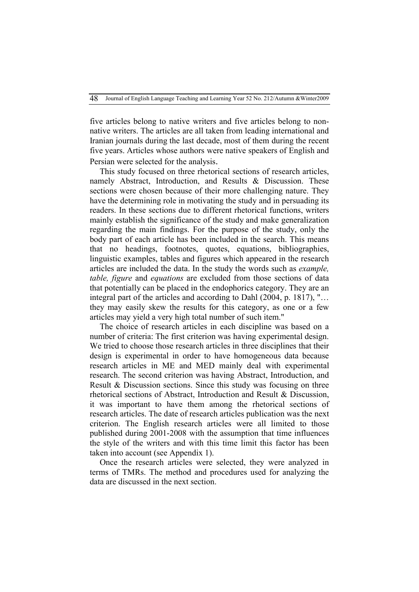five articles belong to native writers and five articles belong to nonnative writers. The articles are all taken from leading international and Iranian journals during the last decade, most of them during the recent five years. Articles whose authors were native speakers of English and Persian were selected for the analysis.

This study focused on three rhetorical sections of research articles, namely Abstract, Introduction, and Results & Discussion. These sections were chosen because of their more challenging nature. They have the determining role in motivating the study and in persuading its readers. In these sections due to different rhetorical functions, writers mainly establish the significance of the study and make generalization regarding the main findings. For the purpose of the study, only the body part of each article has been included in the search. This means that no headings, footnotes, quotes, equations, bibliographies, linguistic examples, tables and figures which appeared in the research articles are included the data. In the study the words such as *example, table, figure* and *equations* are excluded from those sections of data that potentially can be placed in the endophorics category. They are an integral part of the articles and according to Dahl (2004, p. 1817), "… they may easily skew the results for this category, as one or a few articles may yield a very high total number of such item."

The choice of research articles in each discipline was based on a number of criteria: The first criterion was having experimental design. We tried to choose those research articles in three disciplines that their design is experimental in order to have homogeneous data because research articles in ME and MED mainly deal with experimental research. The second criterion was having Abstract, Introduction, and Result & Discussion sections. Since this study was focusing on three rhetorical sections of Abstract, Introduction and Result & Discussion, it was important to have them among the rhetorical sections of research articles. The date of research articles publication was the next criterion. The English research articles were all limited to those published during 2001-2008 with the assumption that time influences the style of the writers and with this time limit this factor has been taken into account (see Appendix 1).

Once the research articles were selected, they were analyzed in terms of TMRs. The method and procedures used for analyzing the data are discussed in the next section.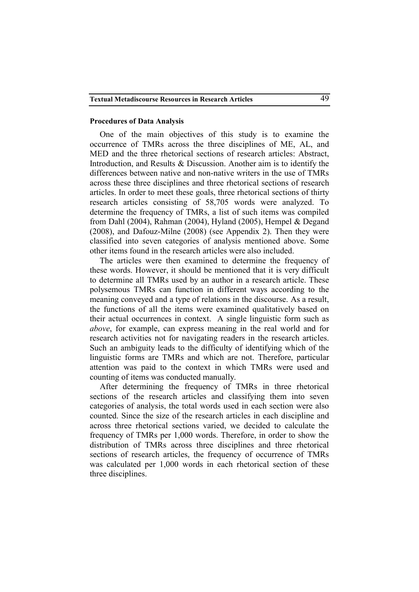### **Procedures of Data Analysis**

One of the main objectives of this study is to examine the occurrence of TMRs across the three disciplines of ME, AL, and MED and the three rhetorical sections of research articles: Abstract, Introduction, and Results & Discussion. Another aim is to identify the differences between native and non-native writers in the use of TMRs across these three disciplines and three rhetorical sections of research articles. In order to meet these goals, three rhetorical sections of thirty research articles consisting of 58,705 words were analyzed. To determine the frequency of TMRs, a list of such items was compiled from Dahl (2004), Rahman (2004), Hyland (2005), Hempel & Degand (2008), and Dafouz-Milne (2008) (see Appendix 2). Then they were classified into seven categories of analysis mentioned above. Some other items found in the research articles were also included.

The articles were then examined to determine the frequency of these words. However, it should be mentioned that it is very difficult to determine all TMRs used by an author in a research article. These polysemous TMRs can function in different ways according to the meaning conveyed and a type of relations in the discourse. As a result, the functions of all the items were examined qualitatively based on their actual occurrences in context. A single linguistic form such as *above*, for example, can express meaning in the real world and for research activities not for navigating readers in the research articles. Such an ambiguity leads to the difficulty of identifying which of the linguistic forms are TMRs and which are not. Therefore, particular attention was paid to the context in which TMRs were used and counting of items was conducted manually.

After determining the frequency of TMRs in three rhetorical sections of the research articles and classifying them into seven categories of analysis, the total words used in each section were also counted. Since the size of the research articles in each discipline and across three rhetorical sections varied, we decided to calculate the frequency of TMRs per 1,000 words. Therefore, in order to show the distribution of TMRs across three disciplines and three rhetorical sections of research articles, the frequency of occurrence of TMRs was calculated per 1,000 words in each rhetorical section of these three disciplines.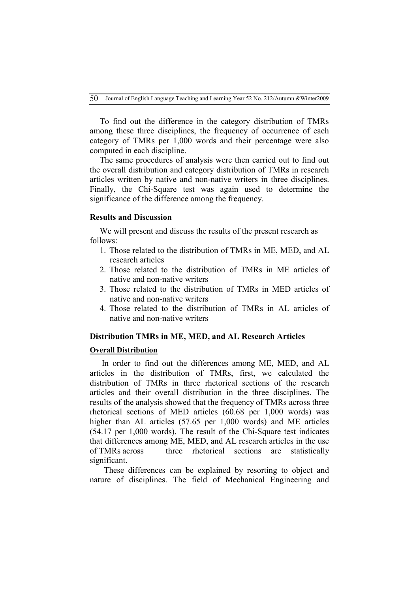To find out the difference in the category distribution of TMRs among these three disciplines, the frequency of occurrence of each category of TMRs per 1,000 words and their percentage were also computed in each discipline.

The same procedures of analysis were then carried out to find out the overall distribution and category distribution of TMRs in research articles written by native and non-native writers in three disciplines. Finally, the Chi-Square test was again used to determine the significance of the difference among the frequency.

### **Results and Discussion**

We will present and discuss the results of the present research as follows:

- 1. Those related to the distribution of TMRs in ME, MED, and AL research articles
- 2. Those related to the distribution of TMRs in ME articles of native and non-native writers
- 3. Those related to the distribution of TMRs in MED articles of native and non-native writers
- 4. Those related to the distribution of TMRs in AL articles of native and non-native writers

### **Distribution TMRs in ME, MED, and AL Research Articles**

### **Overall Distribution**

In order to find out the differences among ME, MED, and AL articles in the distribution of TMRs, first, we calculated the distribution of TMRs in three rhetorical sections of the research articles and their overall distribution in the three disciplines. The results of the analysis showed that the frequency of TMRs across three rhetorical sections of MED articles (60.68 per 1,000 words) was higher than AL articles (57.65 per 1,000 words) and ME articles (54.17 per 1,000 words). The result of the Chi-Square test indicates that differences among ME, MED, and AL research articles in the use of TMRs across three rhetorical sections are statistically significant.

 These differences can be explained by resorting to object and nature of disciplines. The field of Mechanical Engineering and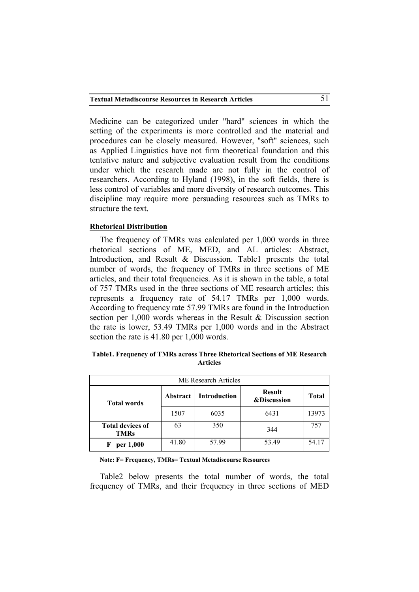Medicine can be categorized under "hard" sciences in which the setting of the experiments is more controlled and the material and procedures can be closely measured. However, "soft" sciences, such as Applied Linguistics have not firm theoretical foundation and this tentative nature and subjective evaluation result from the conditions under which the research made are not fully in the control of researchers. According to Hyland (1998), in the soft fields, there is less control of variables and more diversity of research outcomes. This discipline may require more persuading resources such as TMRs to structure the text.

## **Rhetorical Distribution**

The frequency of TMRs was calculated per 1,000 words in three rhetorical sections of ME, MED, and AL articles: Abstract, Introduction, and Result & Discussion. Table1 presents the total number of words, the frequency of TMRs in three sections of ME articles, and their total frequencies. As it is shown in the table, a total of 757 TMRs used in the three sections of ME research articles; this represents a frequency rate of 54.17 TMRs per 1,000 words. According to frequency rate 57.99 TMRs are found in the Introduction section per 1,000 words whereas in the Result & Discussion section the rate is lower, 53.49 TMRs per 1,000 words and in the Abstract section the rate is 41.80 per 1,000 words.

| Table1. Frequency of TMRs across Three Rhetorical Sections of ME Research |  |                 |  |  |
|---------------------------------------------------------------------------|--|-----------------|--|--|
|                                                                           |  | <b>Articles</b> |  |  |

| <b>ME</b> Research Articles            |          |                                                                |       |              |  |  |  |
|----------------------------------------|----------|----------------------------------------------------------------|-------|--------------|--|--|--|
| <b>Total words</b>                     | Abstract | <b>Result</b><br><b>Introduction</b><br><b>&amp;Discussion</b> |       | <b>Total</b> |  |  |  |
|                                        | 1507     | 6035                                                           | 6431  | 13973        |  |  |  |
| <b>Total devices of</b><br><b>TMRs</b> | 63       | 350                                                            | 344   | 757          |  |  |  |
| per 1,000<br>F                         | 41.80    | 57.99                                                          | 53.49 | 54.17        |  |  |  |

**Note: F= Frequency, TMRs= Textual Metadiscourse Resources**

Table2 below presents the total number of words, the total frequency of TMRs, and their frequency in three sections of MED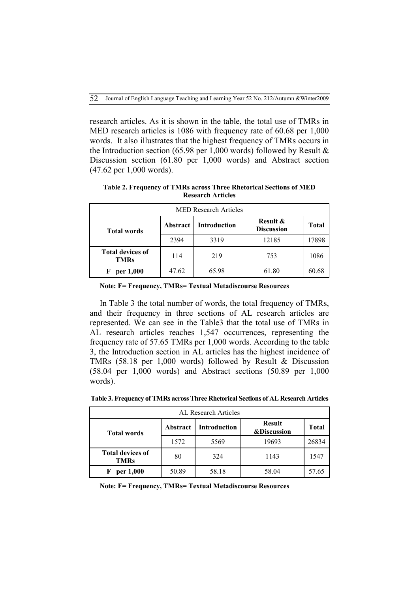research articles. As it is shown in the table, the total use of TMRs in MED research articles is 1086 with frequency rate of 60.68 per 1,000 words. It also illustrates that the highest frequency of TMRs occurs in the Introduction section (65.98 per 1,000 words) followed by Result  $\&$ Discussion section (61.80 per 1,000 words) and Abstract section (47.62 per 1,000 words).

| <b>MED Research Articles</b>           |          |                     |                               |              |  |  |  |
|----------------------------------------|----------|---------------------|-------------------------------|--------------|--|--|--|
| <b>Total words</b>                     | Abstract | <b>Introduction</b> | Result &<br><b>Discussion</b> | <b>Total</b> |  |  |  |
|                                        | 2394     | 3319                | 12185                         | 17898        |  |  |  |
| <b>Total devices of</b><br><b>TMRs</b> | 114      | 219                 | 753                           | 1086         |  |  |  |
| per 1,000<br>F                         | 47.62    | 65.98               | 61.80                         | 60.68        |  |  |  |

**Table 2. Frequency of TMRs across Three Rhetorical Sections of MED Research Articles**

|  |  | Note: F= Frequency, TMRs= Textual Metadiscourse Resources |
|--|--|-----------------------------------------------------------|
|--|--|-----------------------------------------------------------|

In Table 3 the total number of words, the total frequency of TMRs, and their frequency in three sections of AL research articles are represented. We can see in the Table3 that the total use of TMRs in AL research articles reaches 1,547 occurrences, representing the frequency rate of 57.65 TMRs per 1,000 words. According to the table 3, the Introduction section in AL articles has the highest incidence of TMRs (58.18 per 1,000 words) followed by Result & Discussion (58.04 per 1,000 words) and Abstract sections (50.89 per 1,000 words).

| AL Research Articles                   |                 |              |                                         |              |  |  |  |
|----------------------------------------|-----------------|--------------|-----------------------------------------|--------------|--|--|--|
| <b>Total words</b>                     | <b>Abstract</b> | Introduction | <b>Result</b><br><b>&amp;Discussion</b> | <b>Total</b> |  |  |  |
|                                        | 1572            | 5569         | 19693                                   | 26834        |  |  |  |
| <b>Total devices of</b><br><b>TMRs</b> | 80              | 324          | 1143                                    | 1547         |  |  |  |
| per 1,000                              | 50.89           | 58.18        | 58.04                                   | 57.65        |  |  |  |

**Table 3. Frequency of TMRs across Three Rhetorical Sections of AL Research Articles**

**Note: F= Frequency, TMRs= Textual Metadiscourse Resources**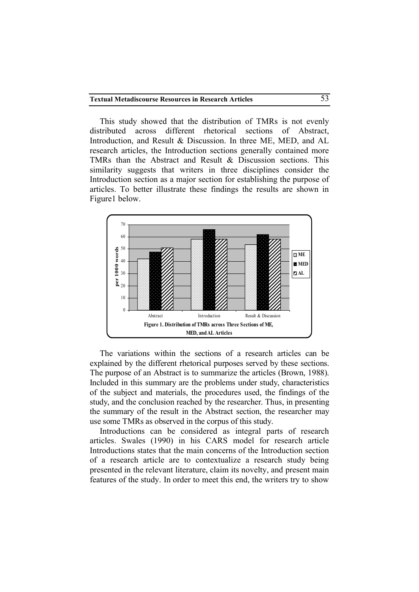This study showed that the distribution of TMRs is not evenly distributed across different rhetorical sections of Abstract, Introduction, and Result & Discussion. In three ME, MED, and AL research articles, the Introduction sections generally contained more TMRs than the Abstract and Result & Discussion sections. This similarity suggests that writers in three disciplines consider the Introduction section as a major section for establishing the purpose of articles. To better illustrate these findings the results are shown in Figure1 below.



The variations within the sections of a research articles can be explained by the different rhetorical purposes served by these sections. The purpose of an Abstract is to summarize the articles (Brown, 1988). Included in this summary are the problems under study, characteristics of the subject and materials, the procedures used, the findings of the study, and the conclusion reached by the researcher. Thus, in presenting the summary of the result in the Abstract section, the researcher may use some TMRs as observed in the corpus of this study.

Introductions can be considered as integral parts of research articles. Swales (1990) in his CARS model for research article Introductions states that the main concerns of the Introduction section of a research article are to contextualize a research study being presented in the relevant literature, claim its novelty, and present main features of the study. In order to meet this end, the writers try to show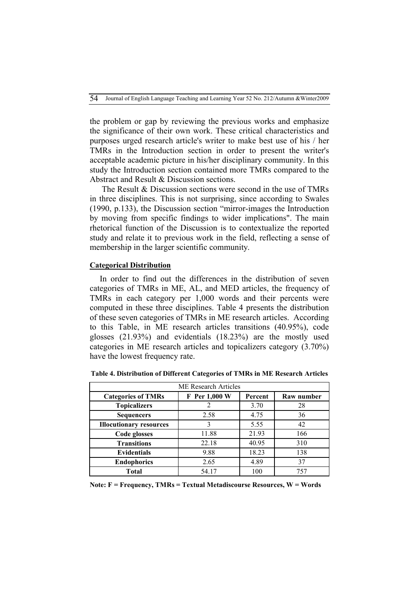the problem or gap by reviewing the previous works and emphasize the significance of their own work. These critical characteristics and purposes urged research article's writer to make best use of his / her TMRs in the Introduction section in order to present the writer's acceptable academic picture in his/her disciplinary community. In this study the Introduction section contained more TMRs compared to the Abstract and Result & Discussion sections.

The Result & Discussion sections were second in the use of TMRs in three disciplines. This is not surprising, since according to Swales (1990, p.133), the Discussion section "mirror-images the Introduction by moving from specific findings to wider implications". The main rhetorical function of the Discussion is to contextualize the reported study and relate it to previous work in the field, reflecting a sense of membership in the larger scientific community.

### **Categorical Distribution**

In order to find out the differences in the distribution of seven categories of TMRs in ME, AL, and MED articles, the frequency of TMRs in each category per 1,000 words and their percents were computed in these three disciplines. Table 4 presents the distribution of these seven categories of TMRs in ME research articles. According to this Table, in ME research articles transitions (40.95%), code glosses (21.93%) and evidentials (18.23%) are the mostly used categories in ME research articles and topicalizers category (3.70%) have the lowest frequency rate.

| <b>ME Research Articles</b>    |               |         |            |  |  |  |
|--------------------------------|---------------|---------|------------|--|--|--|
| <b>Categories of TMRs</b>      | F Per 1,000 W | Percent | Raw number |  |  |  |
| <b>Topicalizers</b>            |               | 3.70    | 28         |  |  |  |
| <b>Sequencers</b>              | 2.58          | 4.75    | 36         |  |  |  |
| <b>Illocutionary resources</b> | 3             | 5.55    | 42         |  |  |  |
| Code glosses                   | 11.88         | 21.93   | 166        |  |  |  |
| <b>Transitions</b>             | 22.18         | 40.95   | 310        |  |  |  |
| <b>Evidentials</b>             | 9.88          | 18.23   | 138        |  |  |  |
| <b>Endophorics</b>             | 2.65          | 4.89    | 37         |  |  |  |
| Total                          | 54.17         | 100     | 757        |  |  |  |

**Table 4. Distribution of Different Categories of TMRs in ME Research Articles**

**Note: F = Frequency, TMRs = Textual Metadiscourse Resources, W = Words**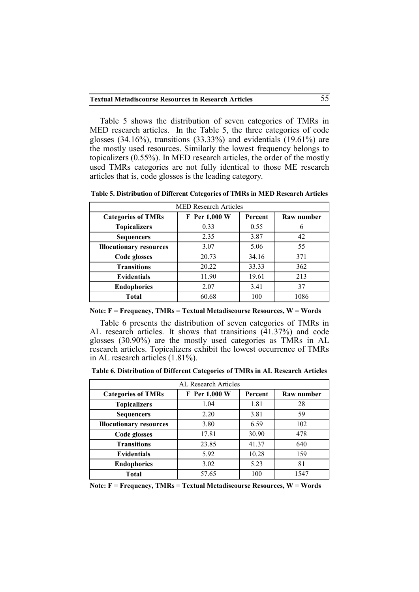Table 5 shows the distribution of seven categories of TMRs in MED research articles. In the Table 5, the three categories of code glosses (34.16%), transitions (33.33%) and evidentials (19.61%) are the mostly used resources. Similarly the lowest frequency belongs to topicalizers (0.55%). In MED research articles, the order of the mostly used TMRs categories are not fully identical to those ME research articles that is, code glosses is the leading category.

| <b>MED Research Articles</b>   |               |         |            |  |  |  |
|--------------------------------|---------------|---------|------------|--|--|--|
| <b>Categories of TMRs</b>      | F Per 1,000 W | Percent | Raw number |  |  |  |
| <b>Topicalizers</b>            | 0.33          | 0.55    | 6          |  |  |  |
| <b>Sequencers</b>              | 2.35          | 3.87    | 42         |  |  |  |
| <b>Illocutionary resources</b> | 3.07          | 5.06    | 55         |  |  |  |
| Code glosses                   | 20.73         | 34.16   | 371        |  |  |  |
| <b>Transitions</b>             | 20.22         | 33.33   | 362        |  |  |  |
| <b>Evidentials</b>             | 11.90         | 19.61   | 213        |  |  |  |
| <b>Endophorics</b>             | 2.07          | 3.41    | 37         |  |  |  |
| Total                          | 60.68         | 100     | 1086       |  |  |  |

**Table 5. Distribution of Different Categories of TMRs in MED Research Articles**

**Note: F = Frequency, TMRs = Textual Metadiscourse Resources, W = Words**

Table 6 presents the distribution of seven categories of TMRs in AL research articles. It shows that transitions  $(41.37%)$  and code glosses (30.90%) are the mostly used categories as TMRs in AL research articles. Topicalizers exhibit the lowest occurrence of TMRs in AL research articles (1.81%).

**Table 6. Distribution of Different Categories of TMRs in AL Research Articles**

| AL Research Articles                                                |       |       |      |  |  |  |
|---------------------------------------------------------------------|-------|-------|------|--|--|--|
| F Per 1,000 W<br><b>Categories of TMRs</b><br>Percent<br>Raw number |       |       |      |  |  |  |
| <b>Topicalizers</b>                                                 | 1.04  | 1.81  | 28   |  |  |  |
| <b>Sequencers</b>                                                   | 2.20  | 3.81  | 59   |  |  |  |
| <b>Illocutionary resources</b>                                      | 3.80  | 6.59  | 102  |  |  |  |
| Code glosses                                                        | 17.81 | 30.90 | 478  |  |  |  |
| <b>Transitions</b>                                                  | 23.85 | 41.37 | 640  |  |  |  |
| <b>Evidentials</b>                                                  | 5.92  | 10.28 | 159  |  |  |  |
| <b>Endophorics</b>                                                  | 3.02  | 5.23  | 81   |  |  |  |
| <b>Total</b>                                                        | 57.65 | 100   | 1547 |  |  |  |

**Note: F = Frequency, TMRs = Textual Metadiscourse Resources, W = Words**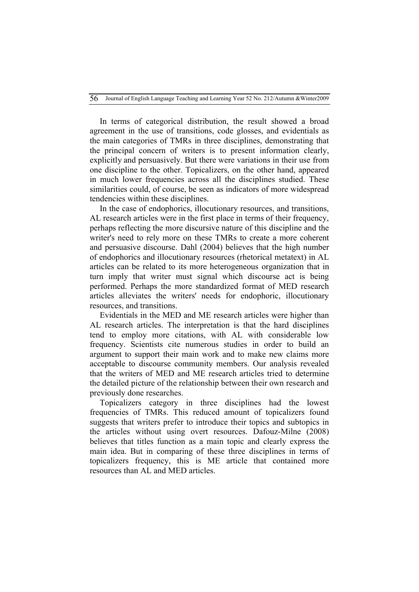In terms of categorical distribution, the result showed a broad agreement in the use of transitions, code glosses, and evidentials as the main categories of TMRs in three disciplines, demonstrating that the principal concern of writers is to present information clearly, explicitly and persuasively. But there were variations in their use from one discipline to the other. Topicalizers, on the other hand, appeared in much lower frequencies across all the disciplines studied. These similarities could, of course, be seen as indicators of more widespread tendencies within these disciplines.

In the case of endophorics, illocutionary resources, and transitions, AL research articles were in the first place in terms of their frequency, perhaps reflecting the more discursive nature of this discipline and the writer's need to rely more on these TMRs to create a more coherent and persuasive discourse. Dahl (2004) believes that the high number of endophorics and illocutionary resources (rhetorical metatext) in AL articles can be related to its more heterogeneous organization that in turn imply that writer must signal which discourse act is being performed. Perhaps the more standardized format of MED research articles alleviates the writers' needs for endophoric, illocutionary resources, and transitions.

Evidentials in the MED and ME research articles were higher than AL research articles. The interpretation is that the hard disciplines tend to employ more citations, with AL with considerable low frequency. Scientists cite numerous studies in order to build an argument to support their main work and to make new claims more acceptable to discourse community members. Our analysis revealed that the writers of MED and ME research articles tried to determine the detailed picture of the relationship between their own research and previously done researches.

Topicalizers category in three disciplines had the lowest frequencies of TMRs. This reduced amount of topicalizers found suggests that writers prefer to introduce their topics and subtopics in the articles without using overt resources. Dafouz-Milne (2008) believes that titles function as a main topic and clearly express the main idea. But in comparing of these three disciplines in terms of topicalizers frequency, this is ME article that contained more resources than AL and MED articles.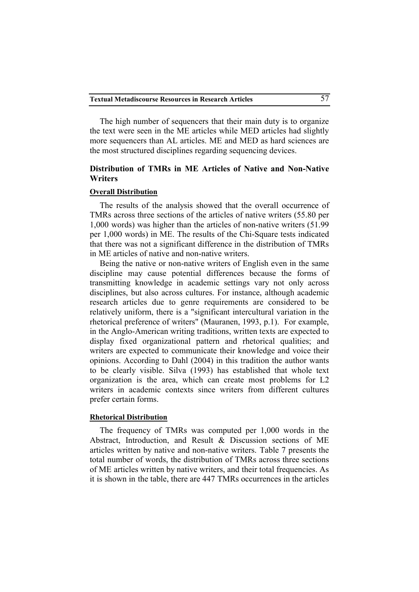The high number of sequencers that their main duty is to organize the text were seen in the ME articles while MED articles had slightly more sequencers than AL articles. ME and MED as hard sciences are the most structured disciplines regarding sequencing devices.

## **Distribution of TMRs in ME Articles of Native and Non-Native Writers**

### **Overall Distribution**

The results of the analysis showed that the overall occurrence of TMRs across three sections of the articles of native writers (55.80 per 1,000 words) was higher than the articles of non-native writers (51.99 per 1,000 words) in ME. The results of the Chi-Square tests indicated that there was not a significant difference in the distribution of TMRs in ME articles of native and non-native writers.

Being the native or non-native writers of English even in the same discipline may cause potential differences because the forms of transmitting knowledge in academic settings vary not only across disciplines, but also across cultures. For instance, although academic research articles due to genre requirements are considered to be relatively uniform, there is a "significant intercultural variation in the rhetorical preference of writers" (Mauranen, 1993, p.1). For example, in the Anglo-American writing traditions, written texts are expected to display fixed organizational pattern and rhetorical qualities; and writers are expected to communicate their knowledge and voice their opinions. According to Dahl (2004) in this tradition the author wants to be clearly visible. Silva (1993) has established that whole text organization is the area, which can create most problems for L2 writers in academic contexts since writers from different cultures prefer certain forms.

### **Rhetorical Distribution**

The frequency of TMRs was computed per 1,000 words in the Abstract, Introduction, and Result & Discussion sections of ME articles written by native and non-native writers. Table 7 presents the total number of words, the distribution of TMRs across three sections of ME articles written by native writers, and their total frequencies. As it is shown in the table, there are 447 TMRs occurrences in the articles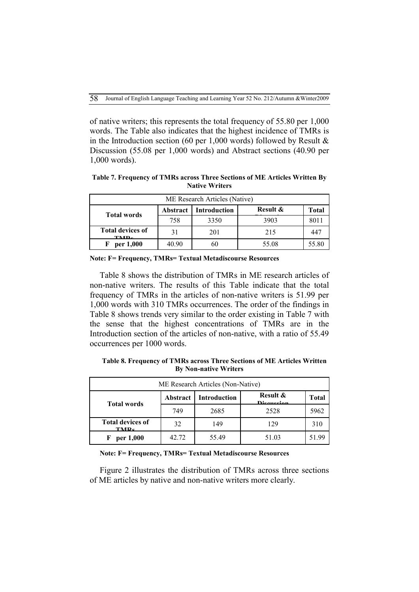of native writers; this represents the total frequency of 55.80 per 1,000 words. The Table also indicates that the highest incidence of TMRs is in the Introduction section (60 per 1,000 words) followed by Result  $\&$ Discussion (55.08 per 1,000 words) and Abstract sections (40.90 per 1,000 words).

**Table 7. Frequency of TMRs across Three Sections of ME Articles Written By Native Writers**

| ME Research Articles (Native)   |                 |              |          |       |  |  |  |
|---------------------------------|-----------------|--------------|----------|-------|--|--|--|
| <b>Total words</b>              | <b>Abstract</b> | Introduction | Result & | Total |  |  |  |
|                                 | 758             | 3350         | 3903     | 8011  |  |  |  |
| <b>Total devices of</b><br>TMD. | 31              | 201          | 215      | -447  |  |  |  |
| per 1,000                       | 40.90           | 60           | 55.08    | 55.80 |  |  |  |

**Note: F= Frequency, TMRs= Textual Metadiscourse Resources**

Table 8 shows the distribution of TMRs in ME research articles of non-native writers. The results of this Table indicate that the total frequency of TMRs in the articles of non-native writers is 51.99 per 1,000 words with 310 TMRs occurrences. The order of the findings in Table 8 shows trends very similar to the order existing in Table 7 with the sense that the highest concentrations of TMRs are in the Introduction section of the articles of non-native, with a ratio of 55.49 occurrences per 1000 words.

**Table 8. Frequency of TMRs across Three Sections of ME Articles Written By Non-native Writers**

| ME Research Articles (Non-Native)           |                 |                     |                                   |       |  |  |  |
|---------------------------------------------|-----------------|---------------------|-----------------------------------|-------|--|--|--|
| <b>Total words</b>                          | <b>Abstract</b> | <b>Introduction</b> | <b>Result &amp;</b><br>Disoussion | Total |  |  |  |
|                                             | 749             | 2685                | 2528                              | 5962  |  |  |  |
| <b>Total devices of</b><br>TMP <sub>c</sub> | 32              | 149                 | 129                               | 310   |  |  |  |
| per 1,000<br>F                              | 42.72           | 55.49               | 51.03                             | 51.99 |  |  |  |

#### **Note: F= Frequency, TMRs= Textual Metadiscourse Resources**

Figure 2 illustrates the distribution of TMRs across three sections of ME articles by native and non-native writers more clearly.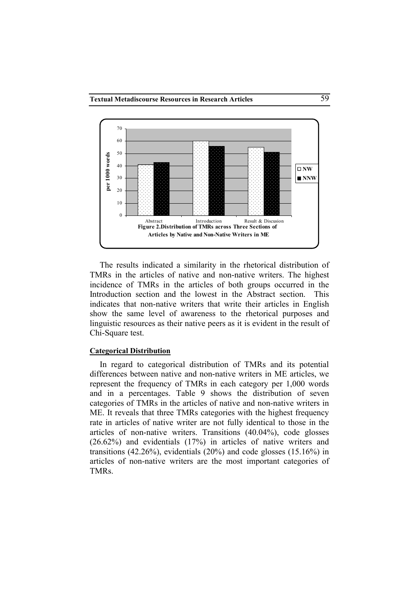

The results indicated a similarity in the rhetorical distribution of TMRs in the articles of native and non-native writers. The highest incidence of TMRs in the articles of both groups occurred in the Introduction section and the lowest in the Abstract section. This indicates that non-native writers that write their articles in English show the same level of awareness to the rhetorical purposes and linguistic resources as their native peers as it is evident in the result of Chi-Square test.

### **Categorical Distribution**

In regard to categorical distribution of TMRs and its potential differences between native and non-native writers in ME articles, we represent the frequency of TMRs in each category per 1,000 words and in a percentages. Table 9 shows the distribution of seven categories of TMRs in the articles of native and non-native writers in ME. It reveals that three TMRs categories with the highest frequency rate in articles of native writer are not fully identical to those in the articles of non-native writers. Transitions (40.04%), code glosses (26.62%) and evidentials (17%) in articles of native writers and transitions  $(42.26\%)$ , evidentials  $(20\%)$  and code glosses  $(15.16\%)$  in articles of non-native writers are the most important categories of TMRs.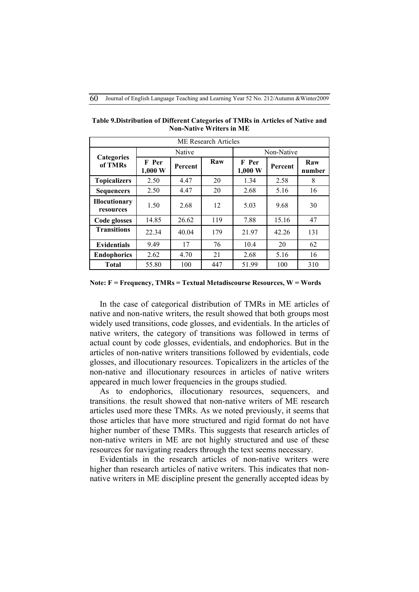| <b>ME Research Articles</b>       |                  |         |     |                  |            |               |  |
|-----------------------------------|------------------|---------|-----|------------------|------------|---------------|--|
|                                   |                  | Native  |     |                  | Non-Native |               |  |
| <b>Categories</b><br>of TMRs      | F Per<br>1,000 W | Percent | Raw | F Per<br>1,000 W | Percent    | Raw<br>number |  |
| <b>Topicalizers</b>               | 2.50             | 4.47    | 20  | 1.34             | 2.58       | 8             |  |
| <b>Sequencers</b>                 | 2.50             | 4.47    | 20  | 2.68             | 5.16       | 16            |  |
| <b>Illocutionary</b><br>resources | 1.50             | 2.68    | 12  | 5.03             | 9.68       | 30            |  |
| Code glosses                      | 14.85            | 26.62   | 119 | 7.88             | 15.16      | 47            |  |
| <b>Transitions</b>                | 22.34            | 40.04   | 179 | 21.97            | 42.26      | 131           |  |
| <b>Evidentials</b>                | 9.49             | 17      | 76  | 10.4             | 20         | 62            |  |
| <b>Endophorics</b>                | 2.62             | 4.70    | 21  | 2.68             | 5.16       | 16            |  |
| <b>Total</b>                      | 55.80            | 100     | 447 | 51.99            | 100        | 310           |  |

**Table 9.Distribution of Different Categories of TMRs in Articles of Native and Non-Native Writers in ME**

#### **Note: F = Frequency, TMRs = Textual Metadiscourse Resources, W = Words**

In the case of categorical distribution of TMRs in ME articles of native and non-native writers, the result showed that both groups most widely used transitions, code glosses, and evidentials. In the articles of native writers, the category of transitions was followed in terms of actual count by code glosses, evidentials, and endophorics. But in the articles of non-native writers transitions followed by evidentials, code glosses, and illocutionary resources. Topicalizers in the articles of the non-native and illocutionary resources in articles of native writers appeared in much lower frequencies in the groups studied.

As to endophorics, illocutionary resources, sequencers, and transitions, the result showed that non-native writers of ME research articles used more these TMRs. As we noted previously, it seems that those articles that have more structured and rigid format do not have higher number of these TMRs. This suggests that research articles of non-native writers in ME are not highly structured and use of these resources for navigating readers through the text seems necessary.

Evidentials in the research articles of non-native writers were higher than research articles of native writers. This indicates that nonnative writers in ME discipline present the generally accepted ideas by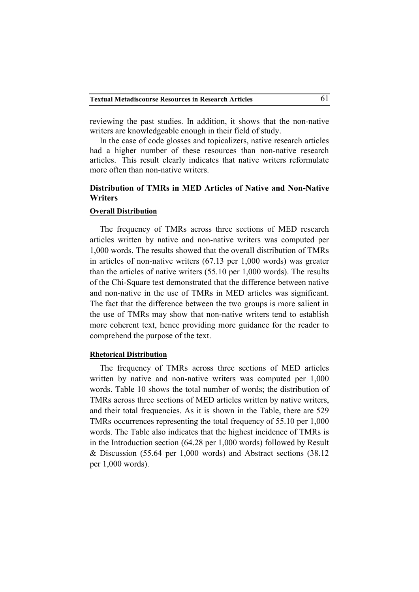reviewing the past studies. In addition, it shows that the non-native writers are knowledgeable enough in their field of study.

In the case of code glosses and topicalizers, native research articles had a higher number of these resources than non-native research articles. This result clearly indicates that native writers reformulate more often than non-native writers.

## **Distribution of TMRs in MED Articles of Native and Non-Native Writers**

### **Overall Distribution**

The frequency of TMRs across three sections of MED research articles written by native and non-native writers was computed per 1,000 words. The results showed that the overall distribution of TMRs in articles of non-native writers (67.13 per 1,000 words) was greater than the articles of native writers (55.10 per 1,000 words). The results of the Chi-Square test demonstrated that the difference between native and non-native in the use of TMRs in MED articles was significant. The fact that the difference between the two groups is more salient in the use of TMRs may show that non-native writers tend to establish more coherent text, hence providing more guidance for the reader to comprehend the purpose of the text.

### **Rhetorical Distribution**

The frequency of TMRs across three sections of MED articles written by native and non-native writers was computed per 1,000 words. Table 10 shows the total number of words; the distribution of TMRs across three sections of MED articles written by native writers, and their total frequencies. As it is shown in the Table, there are 529 TMRs occurrences representing the total frequency of 55.10 per 1,000 words. The Table also indicates that the highest incidence of TMRs is in the Introduction section (64.28 per 1,000 words) followed by Result & Discussion (55.64 per 1,000 words) and Abstract sections (38.12 per 1,000 words).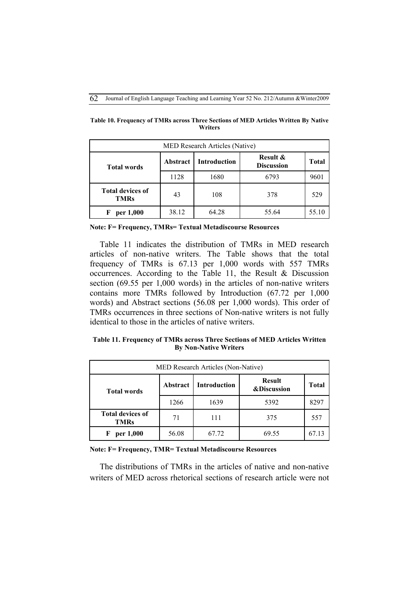| MED Research Articles (Native)         |                 |                                                                 |       |              |  |  |  |
|----------------------------------------|-----------------|-----------------------------------------------------------------|-------|--------------|--|--|--|
| <b>Total words</b>                     | <b>Abstract</b> | <b>Result &amp;</b><br><b>Introduction</b><br><b>Discussion</b> |       | <b>Total</b> |  |  |  |
|                                        | 1128            | 1680                                                            | 6793  | 9601         |  |  |  |
| <b>Total devices of</b><br><b>TMRs</b> | 43              | 108                                                             | 378   | 529          |  |  |  |
| per 1,000<br>F                         | 38.12           | 64.28                                                           | 55.64 | 55.10        |  |  |  |

**Table 10. Frequency of TMRs across Three Sections of MED Articles Written By Native Writers**

**Note: F= Frequency, TMRs= Textual Metadiscourse Resources**

Table 11 indicates the distribution of TMRs in MED research articles of non-native writers. The Table shows that the total frequency of TMRs is 67.13 per 1,000 words with 557 TMRs occurrences. According to the Table 11, the Result & Discussion section (69.55 per 1,000 words) in the articles of non-native writers contains more TMRs followed by Introduction (67.72 per 1,000 words) and Abstract sections (56.08 per 1,000 words). This order of TMRs occurrences in three sections of Non-native writers is not fully identical to those in the articles of native writers.

**Table 11. Frequency of TMRs across Three Sections of MED Articles Written By Non-Native Writers**

| MED Research Articles (Non-Native)     |                 |                                                                |       |              |  |
|----------------------------------------|-----------------|----------------------------------------------------------------|-------|--------------|--|
| <b>Total words</b>                     | <b>Abstract</b> | <b>Result</b><br><b>Introduction</b><br><b>&amp;Discussion</b> |       | <b>Total</b> |  |
|                                        | 1266            | 1639                                                           | 5392  | 8297         |  |
| <b>Total devices of</b><br><b>TMRs</b> | 71              | 111                                                            | 375   | 557          |  |
| per 1,000<br>F                         | 56.08           | 67.72                                                          | 69.55 | 67 13        |  |

### **Note: F= Frequency, TMR= Textual Metadiscourse Resources**

The distributions of TMRs in the articles of native and non-native writers of MED across rhetorical sections of research article were not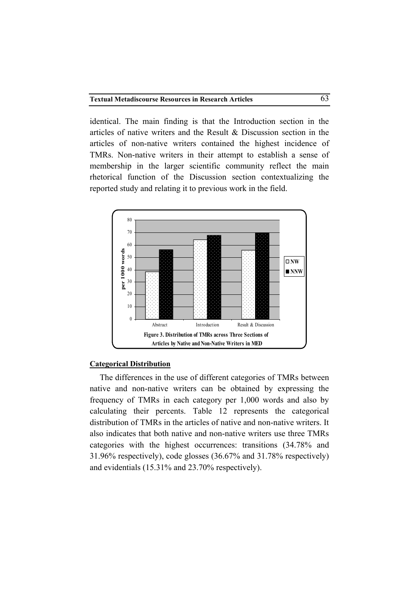identical. The main finding is that the Introduction section in the articles of native writers and the Result & Discussion section in the articles of non-native writers contained the highest incidence of TMRs. Non-native writers in their attempt to establish a sense of membership in the larger scientific community reflect the main rhetorical function of the Discussion section contextualizing the reported study and relating it to previous work in the field.



### **Categorical Distribution**

The differences in the use of different categories of TMRs between native and non-native writers can be obtained by expressing the frequency of TMRs in each category per 1,000 words and also by calculating their percents. Table 12 represents the categorical distribution of TMRs in the articles of native and non-native writers. It also indicates that both native and non-native writers use three TMRs categories with the highest occurrences: transitions (34.78% and 31.96% respectively), code glosses (36.67% and 31.78% respectively) and evidentials (15.31% and 23.70% respectively).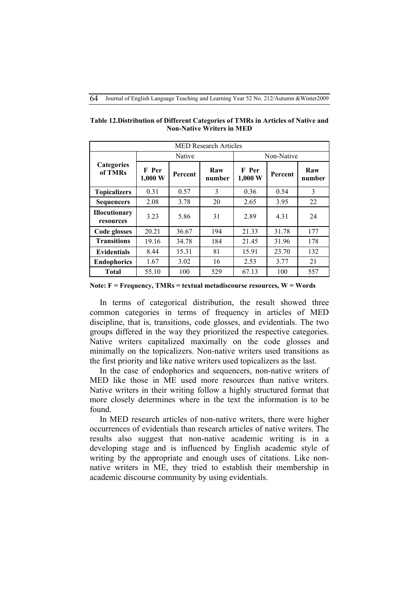| <b>MED Research Articles</b>      |                            |         |               |                            |         |               |
|-----------------------------------|----------------------------|---------|---------------|----------------------------|---------|---------------|
|                                   | Native                     |         |               | Non-Native                 |         |               |
| <b>Categories</b><br>of TMRs      | F Per<br>$1,000 \text{ W}$ | Percent | Raw<br>number | F Per<br>$1,000 \text{ W}$ | Percent | Raw<br>number |
| <b>Topicalizers</b>               | 0.31                       | 0.57    | 3             | 0.36                       | 0.54    | 3             |
| <b>Sequencers</b>                 | 2.08                       | 3.78    | 20            | 2.65                       | 3.95    | 22            |
| <b>Illocutionary</b><br>resources | 3.23                       | 5.86    | 31            | 2.89                       | 4.31    | 24            |
| Code glosses                      | 20.21                      | 36.67   | 194           | 21.33                      | 31.78   | 177           |
| <b>Transitions</b>                | 19.16                      | 34.78   | 184           | 21.45                      | 31.96   | 178           |
| <b>Evidentials</b>                | 8.44                       | 15.31   | 81            | 15.91                      | 23.70   | 132           |
| <b>Endophorics</b>                | 1.67                       | 3.02    | 16            | 2.53                       | 3.77    | 21            |
| <b>Total</b>                      | 55.10                      | 100     | 529           | 67.13                      | 100     | 557           |

**Table 12.Distribution of Different Categories of TMRs in Articles of Native and Non-Native Writers in MED**

**Note: F = Frequency, TMRs = textual metadiscourse resources, W = Words**

In terms of categorical distribution, the result showed three common categories in terms of frequency in articles of MED discipline, that is, transitions, code glosses, and evidentials. The two groups differed in the way they prioritized the respective categories. Native writers capitalized maximally on the code glosses and minimally on the topicalizers. Non-native writers used transitions as the first priority and like native writers used topicalizers as the last.

In the case of endophorics and sequencers, non-native writers of MED like those in ME used more resources than native writers. Native writers in their writing follow a highly structured format that more closely determines where in the text the information is to be found.

In MED research articles of non-native writers, there were higher occurrences of evidentials than research articles of native writers. The results also suggest that non-native academic writing is in a developing stage and is influenced by English academic style of writing by the appropriate and enough uses of citations. Like nonnative writers in ME, they tried to establish their membership in academic discourse community by using evidentials.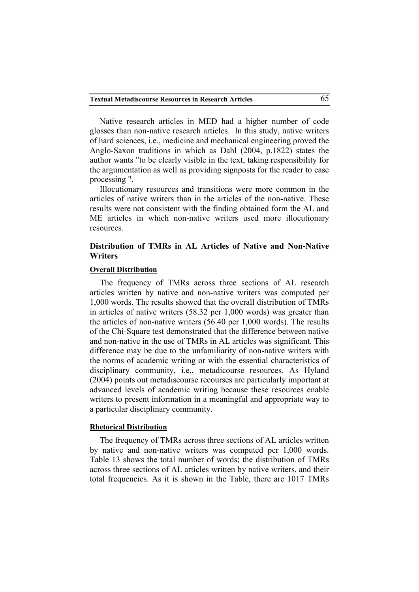Native research articles in MED had a higher number of code glosses than non-native research articles. In this study, native writers of hard sciences, i.e., medicine and mechanical engineering proved the Anglo-Saxon traditions in which as Dahl (2004, p.1822) states the author wants "to be clearly visible in the text, taking responsibility for the argumentation as well as providing signposts for the reader to ease processing ".

Illocutionary resources and transitions were more common in the articles of native writers than in the articles of the non-native. These results were not consistent with the finding obtained form the AL and ME articles in which non-native writers used more illocutionary resources.

## **Distribution of TMRs in AL Articles of Native and Non-Native Writers**

### **Overall Distribution**

The frequency of TMRs across three sections of AL research articles written by native and non-native writers was computed per 1,000 words. The results showed that the overall distribution of TMRs in articles of native writers (58.32 per 1,000 words) was greater than the articles of non-native writers (56.40 per 1,000 words). The results of the Chi-Square test demonstrated that the difference between native and non-native in the use of TMRs in AL articles was significant. This difference may be due to the unfamiliarity of non-native writers with the norms of academic writing or with the essential characteristics of disciplinary community, i.e., metadicourse resources. As Hyland (2004) points out metadiscourse recourses are particularly important at advanced levels of academic writing because these resources enable writers to present information in a meaningful and appropriate way to a particular disciplinary community.

### **Rhetorical Distribution**

The frequency of TMRs across three sections of AL articles written by native and non-native writers was computed per 1,000 words. Table 13 shows the total number of words; the distribution of TMRs across three sections of AL articles written by native writers, and their total frequencies. As it is shown in the Table, there are 1017 TMRs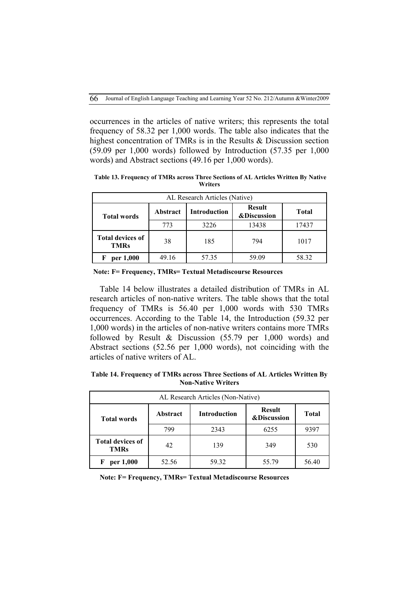occurrences in the articles of native writers; this represents the total frequency of 58.32 per 1,000 words. The table also indicates that the highest concentration of TMRs is in the Results & Discussion section (59.09 per 1,000 words) followed by Introduction (57.35 per 1,000 words) and Abstract sections (49.16 per 1,000 words).

**Table 13. Frequency of TMRs across Three Sections of AL Articles Written By Native Writers**

| AL Research Articles (Native)          |          |                                                                |       |              |  |  |
|----------------------------------------|----------|----------------------------------------------------------------|-------|--------------|--|--|
| <b>Total words</b>                     | Abstract | <b>Result</b><br><b>Introduction</b><br><b>&amp;Discussion</b> |       | <b>Total</b> |  |  |
|                                        | 773      | 3226                                                           | 13438 | 17437        |  |  |
| <b>Total devices of</b><br><b>TMRs</b> | 38       | 185                                                            | 794   | 1017         |  |  |
| per 1,000                              | 49.16    | 57.35                                                          | 59.09 | 58.32        |  |  |

 **Note: F= Frequency, TMRs= Textual Metadiscourse Resources**

Table 14 below illustrates a detailed distribution of TMRs in AL research articles of non-native writers. The table shows that the total frequency of TMRs is 56.40 per 1,000 words with 530 TMRs occurrences. According to the Table 14, the Introduction (59.32 per 1,000 words) in the articles of non-native writers contains more TMRs followed by Result & Discussion (55.79 per 1,000 words) and Abstract sections (52.56 per 1,000 words), not coinciding with the articles of native writers of AL.

**Table 14. Frequency of TMRs across Three Sections of AL Articles Written By Non-Native Writers**

| AL Research Articles (Non-Native)      |          |                     |                                         |              |  |
|----------------------------------------|----------|---------------------|-----------------------------------------|--------------|--|
| <b>Total words</b>                     | Abstract | <b>Introduction</b> | <b>Result</b><br><b>&amp;Discussion</b> | <b>Total</b> |  |
|                                        | 799      | 2343                | 6255                                    | 9397         |  |
| <b>Total devices of</b><br><b>TMRs</b> | 42       | 139                 | 349                                     | 530          |  |
| per 1,000                              | 52.56    | 59.32               | 55.79                                   | 56.40        |  |

**Note: F= Frequency, TMRs= Textual Metadiscourse Resources**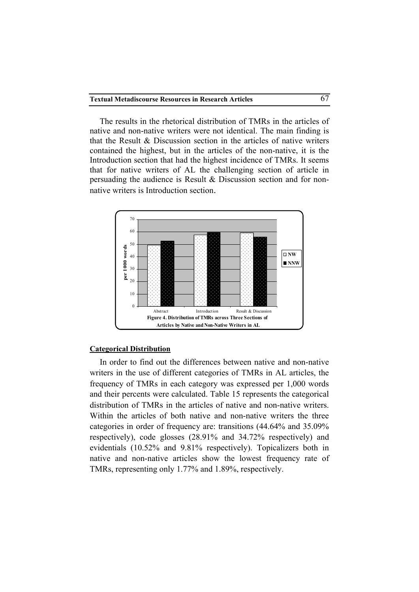The results in the rhetorical distribution of TMRs in the articles of native and non-native writers were not identical. The main finding is that the Result & Discussion section in the articles of native writers contained the highest, but in the articles of the non-native, it is the Introduction section that had the highest incidence of TMRs. It seems that for native writers of AL the challenging section of article in persuading the audience is Result & Discussion section and for nonnative writers is Introduction section.



#### **Categorical Distribution**

In order to find out the differences between native and non-native writers in the use of different categories of TMRs in AL articles, the frequency of TMRs in each category was expressed per 1,000 words and their percents were calculated. Table 15 represents the categorical distribution of TMRs in the articles of native and non-native writers. Within the articles of both native and non-native writers the three categories in order of frequency are: transitions (44.64% and 35.09% respectively), code glosses (28.91% and 34.72% respectively) and evidentials (10.52% and 9.81% respectively). Topicalizers both in native and non-native articles show the lowest frequency rate of TMRs, representing only 1.77% and 1.89%, respectively.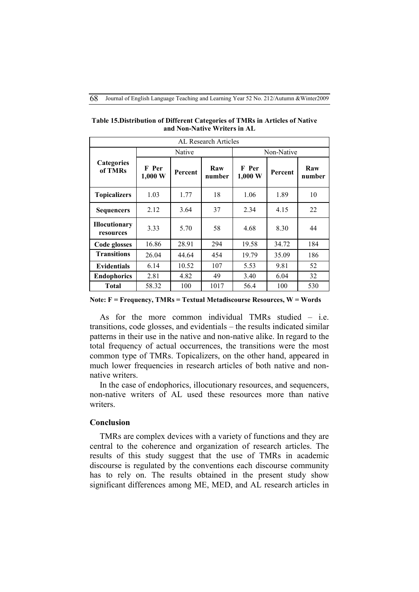| AL Research Articles              |                  |         |               |                            |         |               |
|-----------------------------------|------------------|---------|---------------|----------------------------|---------|---------------|
|                                   | Native           |         |               | Non-Native                 |         |               |
| <b>Categories</b><br>of TMRs      | F Per<br>1,000 W | Percent | Raw<br>number | F Per<br>$1,000 \text{ W}$ | Percent | Raw<br>number |
| <b>Topicalizers</b>               | 1.03             | 1.77    | 18            | 1.06                       | 1.89    | 10            |
| <b>Sequencers</b>                 | 2.12             | 3.64    | 37            | 2.34                       | 4.15    | 22            |
| <b>Illocutionary</b><br>resources | 3.33             | 5.70    | 58            | 4.68                       | 8.30    | 44            |
| Code glosses                      | 16.86            | 28.91   | 294           | 19.58                      | 34.72   | 184           |
| <b>Transitions</b>                | 26.04            | 44.64   | 454           | 19.79                      | 35.09   | 186           |
| <b>Evidentials</b>                | 6.14             | 10.52   | 107           | 5.53                       | 9.81    | 52            |
| <b>Endophorics</b>                | 2.81             | 4.82    | 49            | 3.40                       | 6.04    | 32            |
| <b>Total</b>                      | 58.32            | 100     | 1017          | 56.4                       | 100     | 530           |

**Table 15.Distribution of Different Categories of TMRs in Articles of Native and Non-Native Writers in AL**

**Note: F = Frequency, TMRs = Textual Metadiscourse Resources, W = Words** 

As for the more common individual TMRs studied – i.e. transitions, code glosses, and evidentials – the results indicated similar patterns in their use in the native and non-native alike. In regard to the total frequency of actual occurrences, the transitions were the most common type of TMRs. Topicalizers, on the other hand, appeared in much lower frequencies in research articles of both native and nonnative writers.

In the case of endophorics, illocutionary resources, and sequencers, non-native writers of AL used these resources more than native writers.

### **Conclusion**

TMRs are complex devices with a variety of functions and they are central to the coherence and organization of research articles. The results of this study suggest that the use of TMRs in academic discourse is regulated by the conventions each discourse community has to rely on. The results obtained in the present study show significant differences among ME, MED, and AL research articles in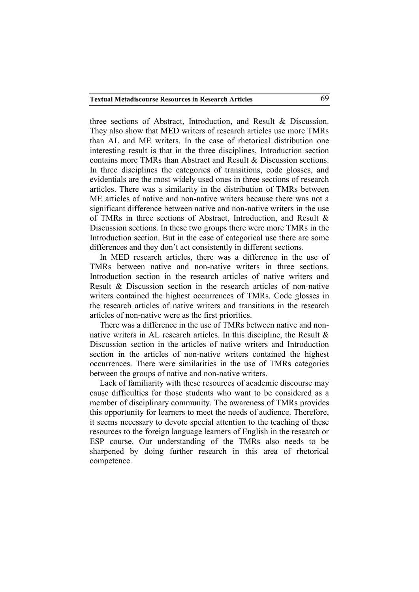three sections of Abstract, Introduction, and Result & Discussion. They also show that MED writers of research articles use more TMRs than AL and ME writers. In the case of rhetorical distribution one interesting result is that in the three disciplines, Introduction section contains more TMRs than Abstract and Result & Discussion sections. In three disciplines the categories of transitions, code glosses, and evidentials are the most widely used ones in three sections of research articles. There was a similarity in the distribution of TMRs between ME articles of native and non-native writers because there was not a significant difference between native and non-native writers in the use of TMRs in three sections of Abstract, Introduction, and Result & Discussion sections. In these two groups there were more TMRs in the Introduction section. But in the case of categorical use there are some differences and they don't act consistently in different sections.

In MED research articles, there was a difference in the use of TMRs between native and non-native writers in three sections. Introduction section in the research articles of native writers and Result & Discussion section in the research articles of non-native writers contained the highest occurrences of TMRs. Code glosses in the research articles of native writers and transitions in the research articles of non-native were as the first priorities.

There was a difference in the use of TMRs between native and nonnative writers in AL research articles. In this discipline, the Result & Discussion section in the articles of native writers and Introduction section in the articles of non-native writers contained the highest occurrences. There were similarities in the use of TMRs categories between the groups of native and non-native writers.

Lack of familiarity with these resources of academic discourse may cause difficulties for those students who want to be considered as a member of disciplinary community. The awareness of TMRs provides this opportunity for learners to meet the needs of audience. Therefore, it seems necessary to devote special attention to the teaching of these resources to the foreign language learners of English in the research or ESP course. Our understanding of the TMRs also needs to be sharpened by doing further research in this area of rhetorical competence.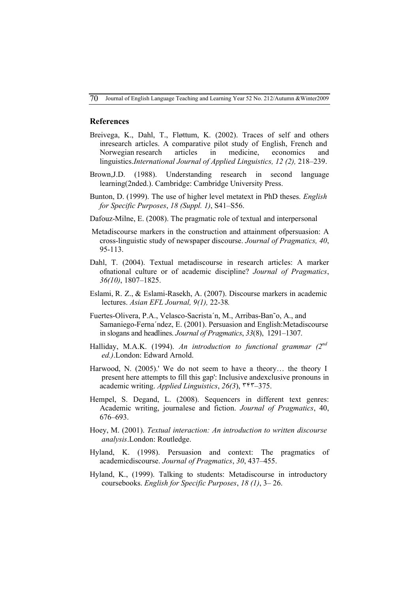70Journal of English Language Teaching and Learning Year 52 No. 212/Autumn &Winter2009

#### **References**

- Breivega, K., Dahl, T., Fløttum, K. (2002). Traces of self and others inresearch articles. A comparative pilot study of English, French and Norwegian research articles in medicine, economics and linguistics.*International Journal of Applied Linguistics, 12 (2),* 218–239.
- Brown,J.D. (1988). Understanding research in second language learning(2nded.). Cambridge: Cambridge University Press.
- Bunton, D. (1999). The use of higher level metatext in PhD theses. *English for Specific Purposes*, *18 (Suppl. 1)*, S41–S56.
- Dafouz-Milne, E. (2008). The pragmatic role of textual and interpersonal
- Metadiscourse markers in the construction and attainment ofpersuasion: A cross-linguistic study of newspaper discourse. *Journal of Pragmatics, 40*, 95-113.
- Dahl, T. (2004). Textual metadiscourse in research articles: A marker ofnational culture or of academic discipline? *Journal of Pragmatics*, *36(10)*, 1807–1825.
- Eslami, R. Z., & Eslami-Rasekh, A. (2007). Discourse markers in academic lectures. *Asian EFL Journal, 9(1),* 22-38*.*
- Fuertes-Olivera, P.A., Velasco-Sacrista´n, M., Arribas-Ban˜o, A., and Samaniego-Ferna´ndez, E. (2001). Persuasion and English:Metadiscourse in slogans and headlines. *Journal of Pragmatics*, *33*(8), 1291–1307.
- Halliday, M.A.K. (1994). *An introduction to functional grammar (2nd ed.)*.London: Edward Arnold.
- Harwood, N. (2005).' We do not seem to have a theory… the theory I present here attempts to fill this gap': Inclusive andexclusive pronouns in academic writing. *Applied Linguistics*, *26(3*), ٣۴٣–375.
- Hempel, S. Degand, L. (2008). Sequencers in different text genres: Academic writing, journalese and fiction. *Journal of Pragmatics*, 40, 676–693.
- Hoey, M. (2001). *Textual interaction: An introduction to written discourse analysis*.London: Routledge.
- Hyland, K. (1998). Persuasion and context: The pragmatics of academicdiscourse. *Journal of Pragmatics*, *30*, 437–455.
- Hyland, K., (1999). Talking to students: Metadiscourse in introductory coursebooks. *English for Specific Purposes*, *18 (1)*, 3– 26.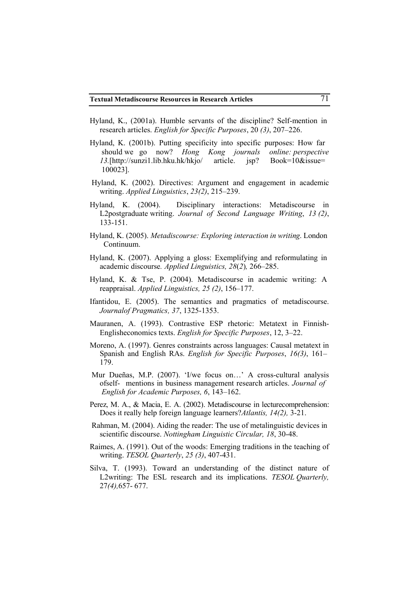- Hyland, K., (2001a). Humble servants of the discipline? Self-mention in research articles. *English for Specific Purposes*, 20 *(3)*, 207–226.
- Hyland, K. (2001b). Putting specificity into specific purposes: How far should we go now? *Hong Kong journals online: perspective 13.*[http://sunzi1.lib.hku.hk/hkjo/ article. jsp? Book=10&issue= 100023].
- Hyland, K. (2002). Directives: Argument and engagement in academic writing. *Applied Linguistics*, *23(2)*, 215–239.
- Hyland, K. (2004). Disciplinary interactions: Metadiscourse in L2postgraduate writing. *Journal of Second Language Writing*, *13 (2)*, 133-151.
- Hyland, K. (2005). *Metadiscourse: Exploring interaction in writing*. London Continuum.
- Hyland, K. (2007). Applying a gloss: Exemplifying and reformulating in academic discourse*. Applied Linguistics, 28*(*2*)*,* 266–285.
- Hyland, K. & Tse, P. (2004). Metadiscourse in academic writing: A reappraisal. *Applied Linguistics, 25 (2)*, 156–177.
- Ifantidou, E. (2005). The semantics and pragmatics of metadiscourse. *Journalof Pragmatics, 37*, 1325-1353.
- Mauranen, A. (1993). Contrastive ESP rhetoric: Metatext in Finnish-Englisheconomics texts. *English for Specific Purposes*, 12, 3–22.
- Moreno, A. (1997). Genres constraints across languages: Causal metatext in Spanish and English RAs. *English for Specific Purposes*, *16(3)*, 161– 179.
- Mur Dueñas, M.P. (2007). 'I/we focus on...' A cross-cultural analysis ofself- mentions in business management research articles. *Journal of English for Academic Purposes, 6*, 143–162.
- Perez, M. A., & Macia, E. A. (2002). Metadiscourse in lecturecomprehension: Does it really help foreign language learners?*Atlantis, 14(2),* 3-21.
- Rahman, M. (2004). Aiding the reader: The use of metalinguistic devices in scientific discourse. *Nottingham Linguistic Circular, 18*, 30-48.
- Raimes, A. (1991). Out of the woods: Emerging traditions in the teaching of writing. *TESOL Quarterly*, *25 (3)*, 407-431.
- Silva, T. (1993). Toward an understanding of the distinct nature of L2writing: The ESL research and its implications. *TESOL Quarterly,* 27*(4),*657- 677.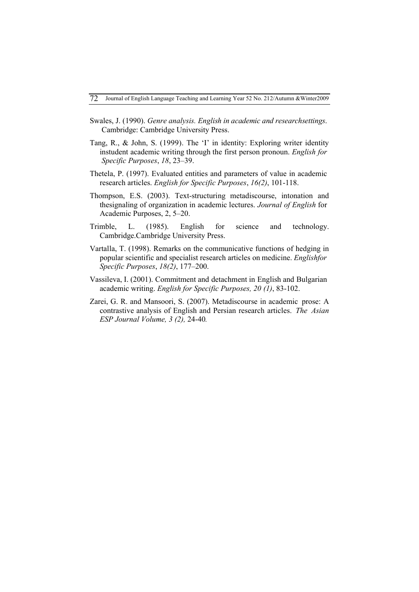- Swales, J. (1990). *Genre analysis. English in academic and researchsettings*. Cambridge: Cambridge University Press.
- Tang, R., & John, S. (1999). The 'I' in identity: Exploring writer identity instudent academic writing through the first person pronoun. *English for Specific Purposes*, *18*, 23–39.
- Thetela, P. (1997). Evaluated entities and parameters of value in academic research articles. *English for Specific Purposes*, *16(2)*, 101-118.
- Thompson, E.S. (2003). Text-structuring metadiscourse, intonation and thesignaling of organization in academic lectures. *Journal of English* for Academic Purposes, 2, 5–20.
- Trimble, L. (1985). English for science and technology. Cambridge.Cambridge University Press.
- Vartalla, T. (1998). Remarks on the communicative functions of hedging in popular scientific and specialist research articles on medicine. *Englishfor Specific Purposes*, *18(2)*, 177–200.
- Vassileva, I. (2001). Commitment and detachment in English and Bulgarian academic writing. *English for Specific Purposes, 20 (1)*, 83-102.
- Zarei, G. R. and Mansoori, S. (2007). Metadiscourse in academic prose: A contrastive analysis of English and Persian research articles. *The Asian ESP Journal Volume, 3 (2),* 24-40*.*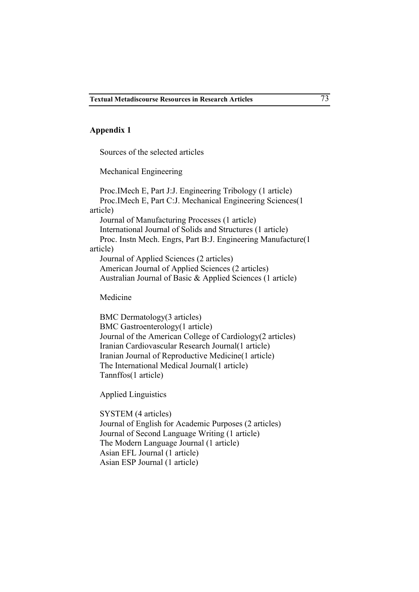### **Appendix 1**

Sources of the selected articles

Mechanical Engineering

Proc.IMech E, Part J:J. Engineering Tribology (1 article) Proc.IMech E, Part C:J. Mechanical Engineering Sciences(1 article) Journal of Manufacturing Processes (1 article) International Journal of Solids and Structures (1 article) Proc. Instn Mech. Engrs, Part B:J. Engineering Manufacture(1 article) Journal of Applied Sciences (2 articles) American Journal of Applied Sciences (2 articles) Australian Journal of Basic & Applied Sciences (1 article)

Medicine

BMC Dermatology(3 articles) BMC Gastroenterology(1 article) Journal of the American College of Cardiology(2 articles) Iranian Cardiovascular Research Journal(1 article) Iranian Journal of Reproductive Medicine(1 article) The International Medical Journal(1 article) Tannffos(1 article)

Applied Linguistics

SYSTEM (4 articles) Journal of English for Academic Purposes (2 articles) Journal of Second Language Writing (1 article) The Modern Language Journal (1 article) Asian EFL Journal (1 article) Asian ESP Journal (1 article)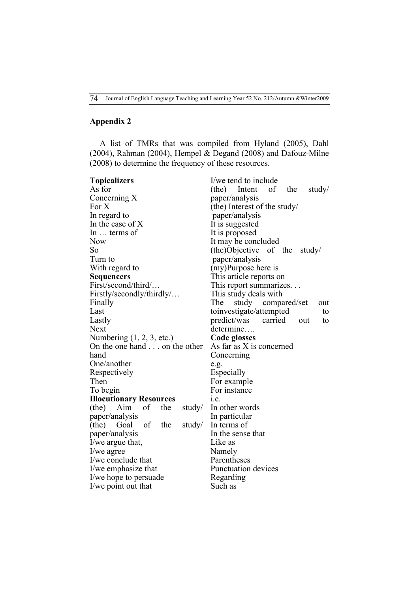# **Appendix 2**

A list of TMRs that was compiled from Hyland (2005), Dahl (2004), Rahman (2004), Hempel & Degand (2008) and Dafouz-Milne (2008) to determine the frequency of these resources.

| <b>Topicalizers</b>                  | I/we tend to include                   |  |  |  |
|--------------------------------------|----------------------------------------|--|--|--|
| As for                               | of<br>Intent<br>the<br>(the)<br>study/ |  |  |  |
| Concerning X                         | paper/analysis                         |  |  |  |
| For X                                | (the) Interest of the study/           |  |  |  |
| In regard to                         | paper/analysis                         |  |  |  |
| In the case of X                     | It is suggested                        |  |  |  |
| In  terms of                         | It is proposed                         |  |  |  |
| <b>Now</b>                           | It may be concluded                    |  |  |  |
| So                                   | (the)Objective of the<br>study/        |  |  |  |
| Turn to                              | paper/analysis                         |  |  |  |
| With regard to                       | (my)Purpose here is                    |  |  |  |
| <b>Sequencers</b>                    | This article reports on                |  |  |  |
| First/second/third/                  | This report summarizes                 |  |  |  |
| Firstly/secondly/thirdly/            | This study deals with                  |  |  |  |
| Finally                              | The<br>study compared/set<br>out       |  |  |  |
| Last                                 | toinvestigate/attempted<br>to          |  |  |  |
| Lastly                               | predict/was<br>carried<br>to<br>out    |  |  |  |
| Next                                 | determine                              |  |  |  |
| Numbering $(1, 2, 3, etc.)$          | Code glosses                           |  |  |  |
| On the one hand on the other         | As far as X is concerned               |  |  |  |
| hand                                 | Concerning                             |  |  |  |
| One/another                          | e.g.                                   |  |  |  |
| Respectively                         | Especially                             |  |  |  |
| Then                                 | For example                            |  |  |  |
| To begin                             | For instance                           |  |  |  |
| <b>Illocutionary Resources</b>       | 1.e.                                   |  |  |  |
| of<br>the<br>(the)<br>Aim<br>study/  | In other words                         |  |  |  |
| paper/analysis                       | In particular                          |  |  |  |
| of<br>study/<br>(the)<br>Goal<br>the | In terms of                            |  |  |  |
| paper/analysis                       | In the sense that                      |  |  |  |
| I/we argue that,                     | Like as                                |  |  |  |
| I/we agree                           | Namely                                 |  |  |  |
| I/we conclude that                   | Parentheses                            |  |  |  |
| I/we emphasize that                  | Punctuation devices                    |  |  |  |
| I/we hope to persuade                | Regarding                              |  |  |  |
| I/we point out that                  | Such as                                |  |  |  |